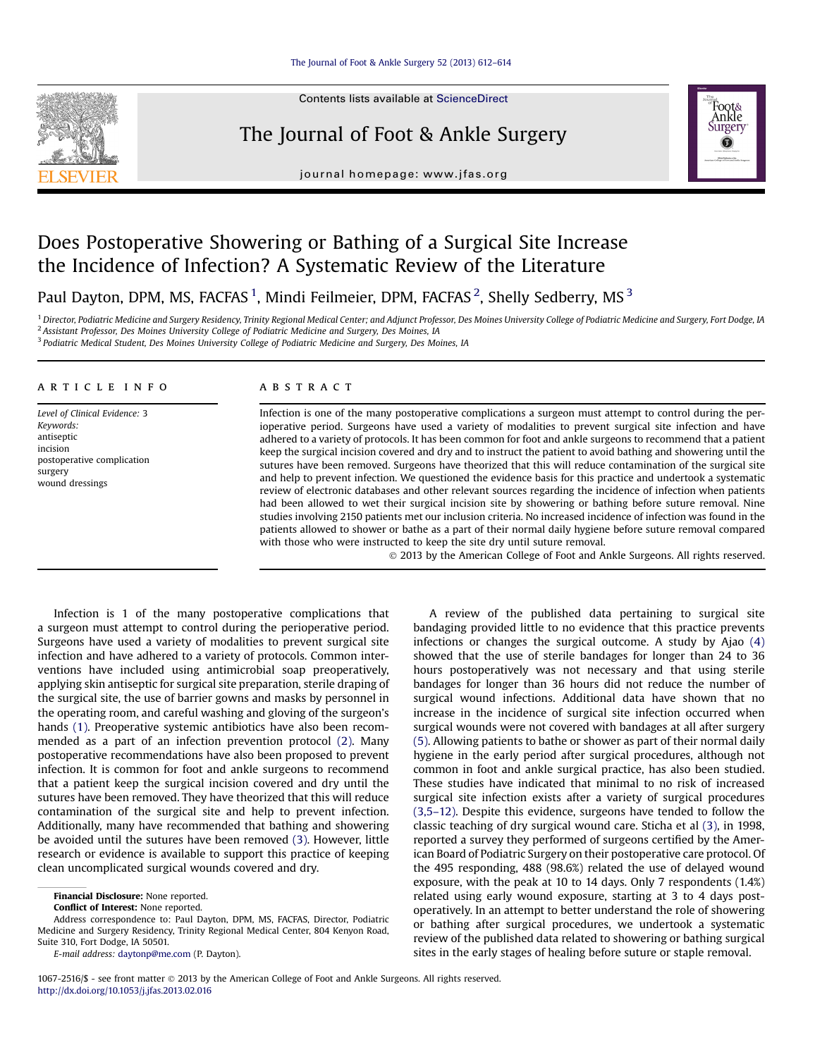Contents lists available at ScienceDirect

# The Journal of Foot & Ankle Surgery



journal homepage: [www.jfas.org](http://www.jfas.org)

# Does Postoperative Showering or Bathing of a Surgical Site Increase the Incidence of Infection? A Systematic Review of the Literature

Paul Dayton, DPM, MS, FACFAS <sup>1</sup>, Mindi Feilmeier, DPM, FACFAS <sup>2</sup>, Shelly Sedberry, MS <sup>3</sup>

<sup>1</sup> Director, Podiatric Medicine and Surgery Residency, Trinity Regional Medical Center; and Adjunct Professor, Des Moines University College of Podiatric Medicine and Surgery, Fort Dodge, IA <sup>2</sup> Assistant Professor, Des Moines University College of Podiatric Medicine and Surgery, Des Moines, IA

<sup>3</sup> Podiatric Medical Student, Des Moines University College of Podiatric Medicine and Surgery, Des Moines, IA

## article info

Level of Clinical Evidence: 3 Keywords: antiseptic incision postoperative complication surgery wound dressings

## ABSTRACT

Infection is one of the many postoperative complications a surgeon must attempt to control during the perioperative period. Surgeons have used a variety of modalities to prevent surgical site infection and have adhered to a variety of protocols. It has been common for foot and ankle surgeons to recommend that a patient keep the surgical incision covered and dry and to instruct the patient to avoid bathing and showering until the sutures have been removed. Surgeons have theorized that this will reduce contamination of the surgical site and help to prevent infection. We questioned the evidence basis for this practice and undertook a systematic review of electronic databases and other relevant sources regarding the incidence of infection when patients had been allowed to wet their surgical incision site by showering or bathing before suture removal. Nine studies involving 2150 patients met our inclusion criteria. No increased incidence of infection was found in the patients allowed to shower or bathe as a part of their normal daily hygiene before suture removal compared with those who were instructed to keep the site dry until suture removal.

2013 by the American College of Foot and Ankle Surgeons. All rights reserved.

Infection is 1 of the many postoperative complications that a surgeon must attempt to control during the perioperative period. Surgeons have used a variety of modalities to prevent surgical site infection and have adhered to a variety of protocols. Common interventions have included using antimicrobial soap preoperatively, applying skin antiseptic for surgical site preparation, sterile draping of the surgical site, the use of barrier gowns and masks by personnel in the operating room, and careful washing and gloving of the surgeon's hands [\(1\).](#page-2-0) Preoperative systemic antibiotics have also been recommended as a part of an infection prevention protocol [\(2\).](#page-2-0) Many postoperative recommendations have also been proposed to prevent infection. It is common for foot and ankle surgeons to recommend that a patient keep the surgical incision covered and dry until the sutures have been removed. They have theorized that this will reduce contamination of the surgical site and help to prevent infection. Additionally, many have recommended that bathing and showering be avoided until the sutures have been removed [\(3\)](#page-2-0). However, little research or evidence is available to support this practice of keeping clean uncomplicated surgical wounds covered and dry.

Financial Disclosure: None reported.

Conflict of Interest: None reported.

Address correspondence to: Paul Dayton, DPM, MS, FACFAS, Director, Podiatric Medicine and Surgery Residency, Trinity Regional Medical Center, 804 Kenyon Road, Suite 310, Fort Dodge, IA 50501.

E-mail address: [daytonp@me.com](mailto:daytonp@me.com) (P. Dayton).

A review of the published data pertaining to surgical site bandaging provided little to no evidence that this practice prevents infections or changes the surgical outcome. A study by Ajao [\(4\)](#page-2-0) showed that the use of sterile bandages for longer than 24 to 36 hours postoperatively was not necessary and that using sterile bandages for longer than 36 hours did not reduce the number of surgical wound infections. Additional data have shown that no increase in the incidence of surgical site infection occurred when surgical wounds were not covered with bandages at all after surgery [\(5\).](#page-2-0) Allowing patients to bathe or shower as part of their normal daily hygiene in the early period after surgical procedures, although not common in foot and ankle surgical practice, has also been studied. These studies have indicated that minimal to no risk of increased surgical site infection exists after a variety of surgical procedures [\(3,5](#page-2-0)–12). Despite this evidence, surgeons have tended to follow the classic teaching of dry surgical wound care. Sticha et al [\(3\),](#page-2-0) in 1998, reported a survey they performed of surgeons certified by the American Board of Podiatric Surgery on their postoperative care protocol. Of the 495 responding, 488 (98.6%) related the use of delayed wound exposure, with the peak at 10 to 14 days. Only 7 respondents (1.4%) related using early wound exposure, starting at 3 to 4 days postoperatively. In an attempt to better understand the role of showering or bathing after surgical procedures, we undertook a systematic review of the published data related to showering or bathing surgical sites in the early stages of healing before suture or staple removal.

1067-2516/\$ - see front matter  $\circ$  2013 by the American College of Foot and Ankle Surgeons. All rights reserved. <http://dx.doi.org/10.1053/j.jfas.2013.02.016>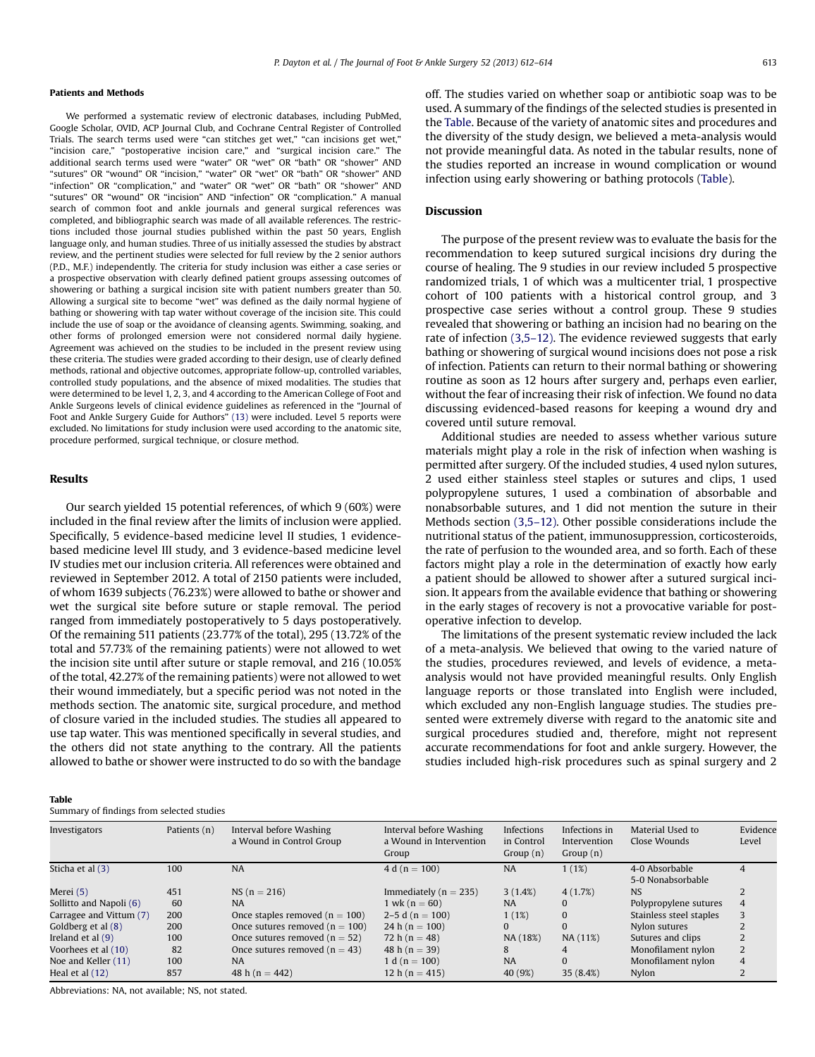#### Patients and Methods

We performed a systematic review of electronic databases, including PubMed, Google Scholar, OVID, ACP Journal Club, and Cochrane Central Register of Controlled Trials. The search terms used were "can stitches get wet," "can incisions get wet," "incision care," "postoperative incision care," and "surgical incision care." The additional search terms used were "water" OR "wet" OR "bath" OR "shower" AND "sutures" OR "wound" OR "incision," "water" OR "wet" OR "bath" OR "shower" AND "infection" OR "complication," and "water" OR "wet" OR "bath" OR "shower" AND "sutures" OR "wound" OR "incision" AND "infection" OR "complication." A manual search of common foot and ankle journals and general surgical references was completed, and bibliographic search was made of all available references. The restrictions included those journal studies published within the past 50 years, English language only, and human studies. Three of us initially assessed the studies by abstract review, and the pertinent studies were selected for full review by the 2 senior authors (P.D., M.F.) independently. The criteria for study inclusion was either a case series or a prospective observation with clearly defined patient groups assessing outcomes of showering or bathing a surgical incision site with patient numbers greater than 50. Allowing a surgical site to become "wet" was defined as the daily normal hygiene of bathing or showering with tap water without coverage of the incision site. This could include the use of soap or the avoidance of cleansing agents. Swimming, soaking, and other forms of prolonged emersion were not considered normal daily hygiene. Agreement was achieved on the studies to be included in the present review using these criteria. The studies were graded according to their design, use of clearly defined methods, rational and objective outcomes, appropriate follow-up, controlled variables, controlled study populations, and the absence of mixed modalities. The studies that were determined to be level 1, 2, 3, and 4 according to the American College of Foot and Ankle Surgeons levels of clinical evidence guidelines as referenced in the "Journal of Foot and Ankle Surgery Guide for Authors" [\(13\)](#page-2-0) were included. Level 5 reports were excluded. No limitations for study inclusion were used according to the anatomic site, procedure performed, surgical technique, or closure method.

# Results

Table

Our search yielded 15 potential references, of which 9 (60%) were included in the final review after the limits of inclusion were applied. Specifically, 5 evidence-based medicine level II studies, 1 evidencebased medicine level III study, and 3 evidence-based medicine level IV studies met our inclusion criteria. All references were obtained and reviewed in September 2012. A total of 2150 patients were included, of whom 1639 subjects (76.23%) were allowed to bathe or shower and wet the surgical site before suture or staple removal. The period ranged from immediately postoperatively to 5 days postoperatively. Of the remaining 511 patients (23.77% of the total), 295 (13.72% of the total and 57.73% of the remaining patients) were not allowed to wet the incision site until after suture or staple removal, and 216 (10.05% of the total, 42.27% of the remaining patients) were not allowed to wet their wound immediately, but a specific period was not noted in the methods section. The anatomic site, surgical procedure, and method of closure varied in the included studies. The studies all appeared to use tap water. This was mentioned specifically in several studies, and the others did not state anything to the contrary. All the patients allowed to bathe or shower were instructed to do so with the bandage off. The studies varied on whether soap or antibiotic soap was to be used. A summary of the findings of the selected studies is presented in the Table. Because of the variety of anatomic sites and procedures and the diversity of the study design, we believed a meta-analysis would not provide meaningful data. As noted in the tabular results, none of the studies reported an increase in wound complication or wound infection using early showering or bathing protocols (Table).

# **Discussion**

The purpose of the present review was to evaluate the basis for the recommendation to keep sutured surgical incisions dry during the course of healing. The 9 studies in our review included 5 prospective randomized trials, 1 of which was a multicenter trial, 1 prospective cohort of 100 patients with a historical control group, and 3 prospective case series without a control group. These 9 studies revealed that showering or bathing an incision had no bearing on the rate of infection [\(3,5](#page-2-0)–12). The evidence reviewed suggests that early bathing or showering of surgical wound incisions does not pose a risk of infection. Patients can return to their normal bathing or showering routine as soon as 12 hours after surgery and, perhaps even earlier, without the fear of increasing their risk of infection. We found no data discussing evidenced-based reasons for keeping a wound dry and covered until suture removal.

Additional studies are needed to assess whether various suture materials might play a role in the risk of infection when washing is permitted after surgery. Of the included studies, 4 used nylon sutures, 2 used either stainless steel staples or sutures and clips, 1 used polypropylene sutures, 1 used a combination of absorbable and nonabsorbable sutures, and 1 did not mention the suture in their Methods section [\(3,5](#page-2-0)–12). Other possible considerations include the nutritional status of the patient, immunosuppression, corticosteroids, the rate of perfusion to the wounded area, and so forth. Each of these factors might play a role in the determination of exactly how early a patient should be allowed to shower after a sutured surgical incision. It appears from the available evidence that bathing or showering in the early stages of recovery is not a provocative variable for postoperative infection to develop.

The limitations of the present systematic review included the lack of a meta-analysis. We believed that owing to the varied nature of the studies, procedures reviewed, and levels of evidence, a metaanalysis would not have provided meaningful results. Only English language reports or those translated into English were included, which excluded any non-English language studies. The studies presented were extremely diverse with regard to the anatomic site and surgical procedures studied and, therefore, might not represent accurate recommendations for foot and ankle surgery. However, the studies included high-risk procedures such as spinal surgery and 2

| Investigators           | Patients (n) | Interval before Washing<br>a Wound in Control Group | Interval before Washing<br>a Wound in Intervention<br>Group | Infections<br>in Control<br>Group(n) | Infections in<br>Intervention<br>Group $(n)$ | Material Used to<br>Close Wounds    | Evidence<br>Level |
|-------------------------|--------------|-----------------------------------------------------|-------------------------------------------------------------|--------------------------------------|----------------------------------------------|-------------------------------------|-------------------|
| Sticha et al (3)        | 100          | <b>NA</b>                                           | $4 d (n = 100)$                                             | <b>NA</b>                            | 1(1%)                                        | 4-0 Absorbable<br>5-0 Nonabsorbable |                   |
| Merei (5)               | 451          | $NS (n = 216)$                                      | Immediately ( $n = 235$ )                                   | 3(1.4%)                              | 4(1.7%)                                      | <b>NS</b>                           |                   |
| Sollitto and Napoli (6) | 60           | <b>NA</b>                                           | $1 \text{ wk} (n = 60)$                                     | <b>NA</b>                            |                                              | Polypropylene sutures               | 4                 |
| Carragee and Vittum (7) | 200          | Once staples removed $(n = 100)$                    | 2–5 d ( $n = 100$ )                                         | 1(1%)                                | $\Omega$                                     | Stainless steel staples             |                   |
| Goldberg et al (8)      | 200          | Once sutures removed $(n = 100)$                    | 24 h ( $n = 100$ )                                          | $\Omega$                             | $\Omega$                                     | Nylon sutures                       |                   |
| Ireland et al $(9)$     | 100          | Once sutures removed $(n = 52)$                     | 72 h ( $n = 48$ )                                           | NA (18%)                             | NA (11%)                                     | Sutures and clips                   |                   |
| Voorhees et al (10)     | 82           | Once sutures removed $(n = 43)$                     | 48 h ( $n = 39$ )                                           | 8                                    |                                              | Monofilament nylon                  |                   |
| Noe and Keller (11)     | 100          | <b>NA</b>                                           | $1 d (n = 100)$                                             | <b>NA</b>                            | $\Omega$                                     | Monofilament nylon                  | 4                 |
| Heal et al (12)         | 857          | 48 h ( $n = 442$ )                                  | 12 h ( $n = 415$ )                                          | 40 (9%)                              | 35(8.4%)                                     | Nylon                               |                   |
|                         |              |                                                     |                                                             |                                      |                                              |                                     |                   |

Abbreviations: NA, not available; NS, not stated.

Summary of findings from selected studies